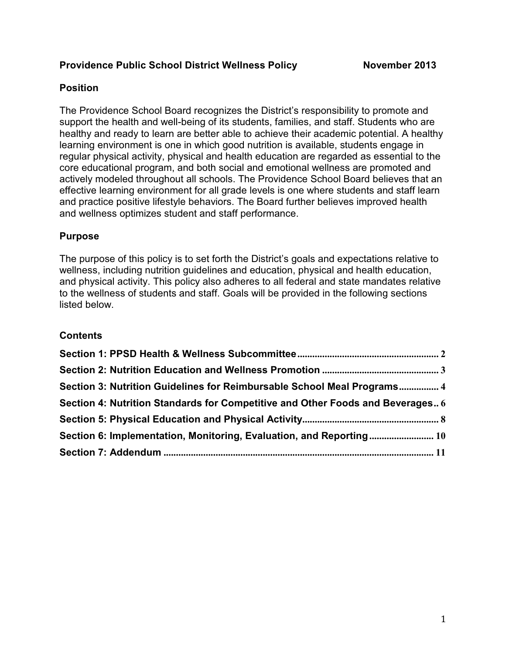# **Providence Public School District Wellness Policy Movember 2013**

# **Position**

The Providence School Board recognizes the District's responsibility to promote and support the health and well-being of its students, families, and staff. Students who are healthy and ready to learn are better able to achieve their academic potential. A healthy learning environment is one in which good nutrition is available, students engage in regular physical activity, physical and health education are regarded as essential to the core educational program, and both social and emotional wellness are promoted and actively modeled throughout all schools. The Providence School Board believes that an effective learning environment for all grade levels is one where students and staff learn and practice positive lifestyle behaviors. The Board further believes improved health and wellness optimizes student and staff performance.

### **Purpose**

The purpose of this policy is to set forth the District's goals and expectations relative to wellness, including nutrition guidelines and education, physical and health education, and physical activity. This policy also adheres to all federal and state mandates relative to the wellness of students and staff. Goals will be provided in the following sections listed below.

#### **Contents**

| Section 3: Nutrition Guidelines for Reimbursable School Meal Programs 4        |  |
|--------------------------------------------------------------------------------|--|
| Section 4: Nutrition Standards for Competitive and Other Foods and Beverages 6 |  |
|                                                                                |  |
| Section 6: Implementation, Monitoring, Evaluation, and Reporting 10            |  |
|                                                                                |  |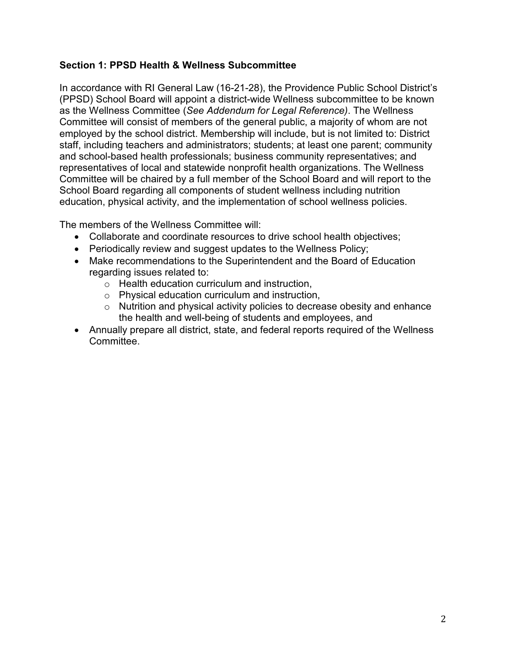### **Section 1: PPSD Health & Wellness Subcommittee**

In accordance with RI General Law (16-21-28), the Providence Public School District's (PPSD) School Board will appoint a district-wide Wellness subcommittee to be known as the Wellness Committee (*See Addendum for Legal Reference)*. The Wellness Committee will consist of members of the general public, a majority of whom are not employed by the school district. Membership will include, but is not limited to: District staff, including teachers and administrators; students; at least one parent; community and school-based health professionals; business community representatives; and representatives of local and statewide nonprofit health organizations. The Wellness Committee will be chaired by a full member of the School Board and will report to the School Board regarding all components of student wellness including nutrition education, physical activity, and the implementation of school wellness policies.

The members of the Wellness Committee will:

- Collaborate and coordinate resources to drive school health objectives;
- Periodically review and suggest updates to the Wellness Policy;
- Make recommendations to the Superintendent and the Board of Education regarding issues related to:
	- o Health education curriculum and instruction,
	- o Physical education curriculum and instruction,
	- o Nutrition and physical activity policies to decrease obesity and enhance the health and well-being of students and employees, and
- Annually prepare all district, state, and federal reports required of the Wellness Committee.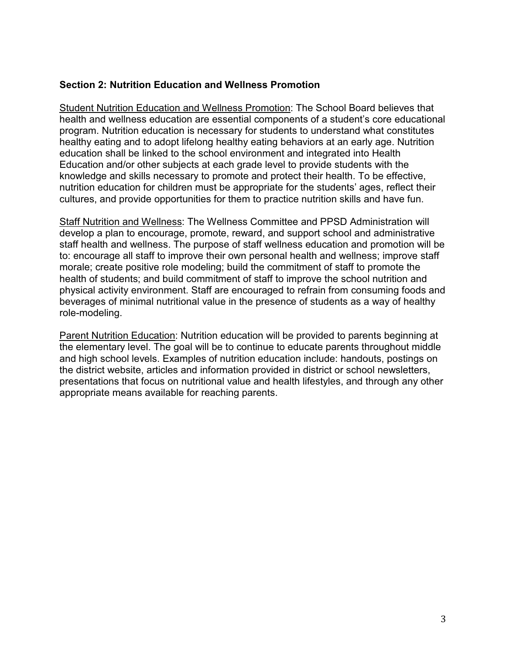### **Section 2: Nutrition Education and Wellness Promotion**

Student Nutrition Education and Wellness Promotion: The School Board believes that health and wellness education are essential components of a student's core educational program. Nutrition education is necessary for students to understand what constitutes healthy eating and to adopt lifelong healthy eating behaviors at an early age. Nutrition education shall be linked to the school environment and integrated into Health Education and/or other subjects at each grade level to provide students with the knowledge and skills necessary to promote and protect their health. To be effective, nutrition education for children must be appropriate for the students' ages, reflect their cultures, and provide opportunities for them to practice nutrition skills and have fun.

Staff Nutrition and Wellness: The Wellness Committee and PPSD Administration will develop a plan to encourage, promote, reward, and support school and administrative staff health and wellness. The purpose of staff wellness education and promotion will be to: encourage all staff to improve their own personal health and wellness; improve staff morale; create positive role modeling; build the commitment of staff to promote the health of students; and build commitment of staff to improve the school nutrition and physical activity environment. Staff are encouraged to refrain from consuming foods and beverages of minimal nutritional value in the presence of students as a way of healthy role-modeling.

Parent Nutrition Education: Nutrition education will be provided to parents beginning at the elementary level. The goal will be to continue to educate parents throughout middle and high school levels. Examples of nutrition education include: handouts, postings on the district website, articles and information provided in district or school newsletters, presentations that focus on nutritional value and health lifestyles, and through any other appropriate means available for reaching parents.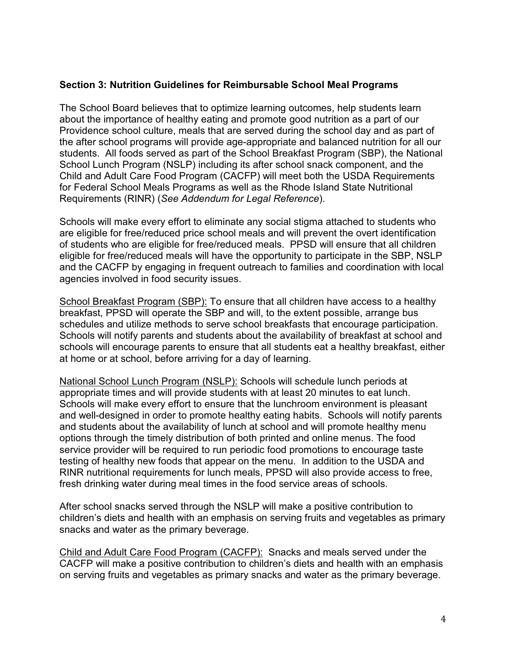# **Section 3: Nutrition Guidelines for Reimbursable School Meal Programs**

The School Board believes that to optimize learning outcomes, help students learn about the importance of healthy eating and promote good nutrition as a part of our Providence school culture, meals that are served during the school day and as part of the after school programs will provide age-appropriate and balanced nutrition for all our students. All foods served as part of the School Breakfast Program (SBP), the National School Lunch Program (NSLP) including its after school snack component, and the Child and Adult Care Food Program (CACFP) will meet both the USDA Requirements for Federal School Meals Programs as well as the Rhode Island State Nutritional Requirements (RINR) (*See Addendum for Legal Reference*).

Schools will make every effort to eliminate any social stigma attached to students who are eligible for free/reduced price school meals and will prevent the overt identification of students who are eligible for free/reduced meals. PPSD will ensure that all children eligible for free/reduced meals will have the opportunity to participate in the SBP, NSLP and the CACFP by engaging in frequent outreach to families and coordination with local agencies involved in food security issues.

School Breakfast Program (SBP): To ensure that all children have access to a healthy breakfast, PPSD will operate the SBP and will, to the extent possible, arrange bus schedules and utilize methods to serve school breakfasts that encourage participation. Schools will notify parents and students about the availability of breakfast at school and schools will encourage parents to ensure that all students eat a healthy breakfast, either at home or at school, before arriving for a day of learning.

National School Lunch Program (NSLP): Schools will schedule lunch periods at appropriate times and will provide students with at least 20 minutes to eat lunch. Schools will make every effort to ensure that the lunchroom environment is pleasant and well-designed in order to promote healthy eating habits. Schools will notify parents and students about the availability of lunch at school and will promote healthy menu options through the timely distribution of both printed and online menus. The food service provider will be required to run periodic food promotions to encourage taste testing of healthy new foods that appear on the menu. In addition to the USDA and RINR nutritional requirements for lunch meals, PPSD will also provide access to free, fresh drinking water during meal times in the food service areas of schools.

After school snacks served through the NSLP will make a positive contribution to children's diets and health with an emphasis on serving fruits and vegetables as primary snacks and water as the primary beverage.

Child and Adult Care Food Program (CACFP): Snacks and meals served under the CACFP will make a positive contribution to children's diets and health with an emphasis on serving fruits and vegetables as primary snacks and water as the primary beverage.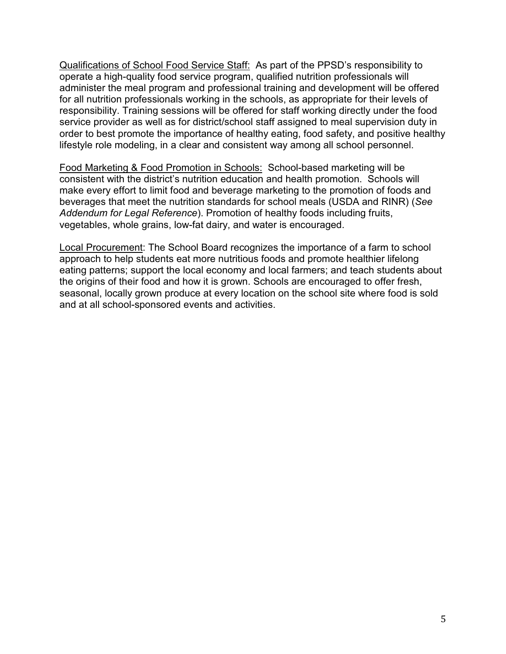Qualifications of School Food Service Staff: As part of the PPSD's responsibility to operate a high-quality food service program, qualified nutrition professionals will administer the meal program and professional training and development will be offered for all nutrition professionals working in the schools, as appropriate for their levels of responsibility. Training sessions will be offered for staff working directly under the food service provider as well as for district/school staff assigned to meal supervision duty in order to best promote the importance of healthy eating, food safety, and positive healthy lifestyle role modeling, in a clear and consistent way among all school personnel.

Food Marketing & Food Promotion in Schools: School-based marketing will be consistent with the district's nutrition education and health promotion. Schools will make every effort to limit food and beverage marketing to the promotion of foods and beverages that meet the nutrition standards for school meals (USDA and RINR) (*See Addendum for Legal Reference*). Promotion of healthy foods including fruits, vegetables, whole grains, low-fat dairy, and water is encouraged.

Local Procurement: The School Board recognizes the importance of a farm to school approach to help students eat more nutritious foods and promote healthier lifelong eating patterns; support the local economy and local farmers; and teach students about the origins of their food and how it is grown. Schools are encouraged to offer fresh, seasonal, locally grown produce at every location on the school site where food is sold and at all school-sponsored events and activities.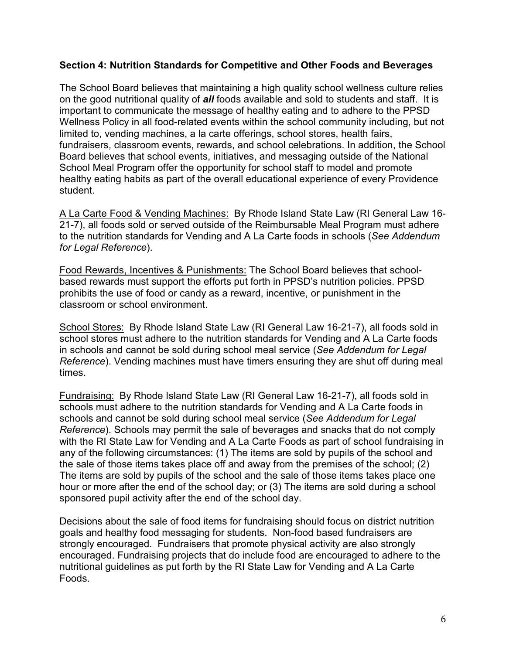#### **Section 4: Nutrition Standards for Competitive and Other Foods and Beverages**

The School Board believes that maintaining a high quality school wellness culture relies on the good nutritional quality of *all* foods available and sold to students and staff. It is important to communicate the message of healthy eating and to adhere to the PPSD Wellness Policy in all food-related events within the school community including, but not limited to, vending machines, a la carte offerings, school stores, health fairs, fundraisers, classroom events, rewards, and school celebrations. In addition, the School Board believes that school events, initiatives, and messaging outside of the National School Meal Program offer the opportunity for school staff to model and promote healthy eating habits as part of the overall educational experience of every Providence student.

A La Carte Food & Vending Machines: By Rhode Island State Law (RI General Law 16- 21-7), all foods sold or served outside of the Reimbursable Meal Program must adhere to the nutrition standards for Vending and A La Carte foods in schools (*See Addendum for Legal Reference*).

Food Rewards, Incentives & Punishments: The School Board believes that schoolbased rewards must support the efforts put forth in PPSD's nutrition policies. PPSD prohibits the use of food or candy as a reward, incentive, or punishment in the classroom or school environment.

School Stores: By Rhode Island State Law (RI General Law 16-21-7), all foods sold in school stores must adhere to the nutrition standards for Vending and A La Carte foods in schools and cannot be sold during school meal service (*See Addendum for Legal Reference*). Vending machines must have timers ensuring they are shut off during meal times.

Fundraising: By Rhode Island State Law (RI General Law 16-21-7), all foods sold in schools must adhere to the nutrition standards for Vending and A La Carte foods in schools and cannot be sold during school meal service (*See Addendum for Legal Reference*). Schools may permit the sale of beverages and snacks that do not comply with the RI State Law for Vending and A La Carte Foods as part of school fundraising in any of the following circumstances: (1) The items are sold by pupils of the school and the sale of those items takes place off and away from the premises of the school; (2) The items are sold by pupils of the school and the sale of those items takes place one hour or more after the end of the school day; or (3) The items are sold during a school sponsored pupil activity after the end of the school day.

Decisions about the sale of food items for fundraising should focus on district nutrition goals and healthy food messaging for students. Non-food based fundraisers are strongly encouraged. Fundraisers that promote physical activity are also strongly encouraged. Fundraising projects that do include food are encouraged to adhere to the nutritional guidelines as put forth by the RI State Law for Vending and A La Carte Foods.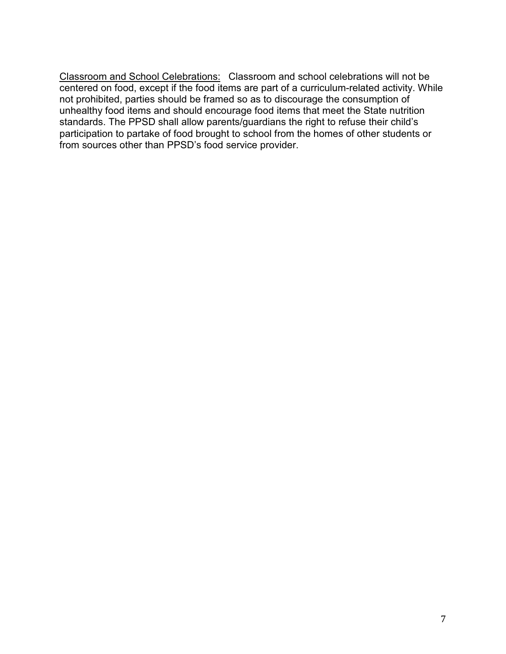Classroom and School Celebrations: Classroom and school celebrations will not be centered on food, except if the food items are part of a curriculum-related activity. While not prohibited, parties should be framed so as to discourage the consumption of unhealthy food items and should encourage food items that meet the State nutrition standards. The PPSD shall allow parents/guardians the right to refuse their child's participation to partake of food brought to school from the homes of other students or from sources other than PPSD's food service provider.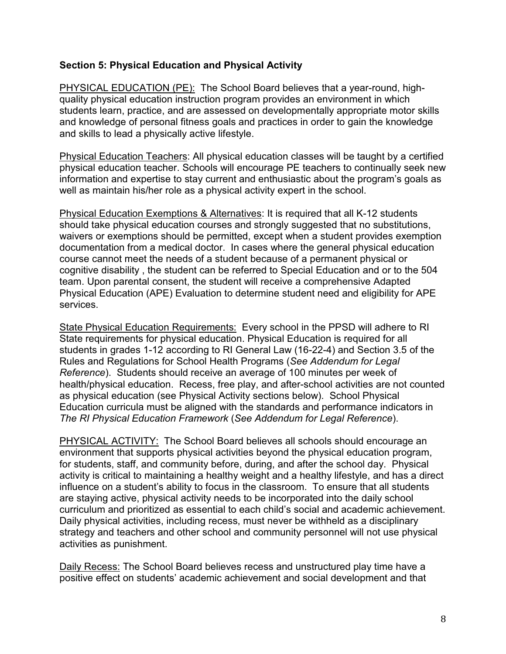### **Section 5: Physical Education and Physical Activity**

PHYSICAL EDUCATION (PE): The School Board believes that a year-round, highquality physical education instruction program provides an environment in which students learn, practice, and are assessed on developmentally appropriate motor skills and knowledge of personal fitness goals and practices in order to gain the knowledge and skills to lead a physically active lifestyle.

Physical Education Teachers: All physical education classes will be taught by a certified physical education teacher. Schools will encourage PE teachers to continually seek new information and expertise to stay current and enthusiastic about the program's goals as well as maintain his/her role as a physical activity expert in the school.

Physical Education Exemptions & Alternatives: It is required that all K-12 students should take physical education courses and strongly suggested that no substitutions, waivers or exemptions should be permitted, except when a student provides exemption documentation from a medical doctor. In cases where the general physical education course cannot meet the needs of a student because of a permanent physical or cognitive disability , the student can be referred to Special Education and or to the 504 team. Upon parental consent, the student will receive a comprehensive Adapted Physical Education (APE) Evaluation to determine student need and eligibility for APE services.

State Physical Education Requirements: Every school in the PPSD will adhere to RI State requirements for physical education. Physical Education is required for all students in grades 1-12 according to RI General Law (16-22-4) and Section 3.5 of the Rules and Regulations for School Health Programs (*See Addendum for Legal Reference*). Students should receive an average of 100 minutes per week of health/physical education. Recess, free play, and after-school activities are not counted as physical education (see Physical Activity sections below). School Physical Education curricula must be aligned with the standards and performance indicators in *The RI Physical Education Framework* (*See Addendum for Legal Reference*).

PHYSICAL ACTIVITY: The School Board believes all schools should encourage an environment that supports physical activities beyond the physical education program, for students, staff, and community before, during, and after the school day. Physical activity is critical to maintaining a healthy weight and a healthy lifestyle, and has a direct influence on a student's ability to focus in the classroom. To ensure that all students are staying active, physical activity needs to be incorporated into the daily school curriculum and prioritized as essential to each child's social and academic achievement. Daily physical activities, including recess, must never be withheld as a disciplinary strategy and teachers and other school and community personnel will not use physical activities as punishment.

Daily Recess: The School Board believes recess and unstructured play time have a positive effect on students' academic achievement and social development and that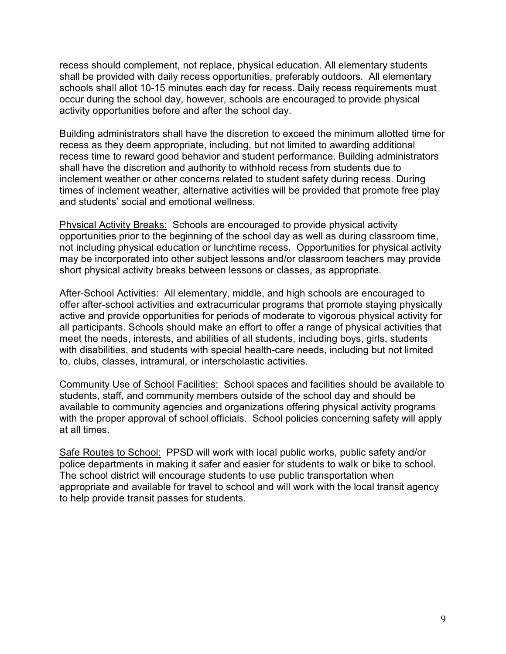recess should complement, not replace, physical education. All elementary students shall be provided with daily recess opportunities, preferably outdoors. All elementary schools shall allot 10-15 minutes each day for recess. Daily recess requirements must occur during the school day, however, schools are encouraged to provide physical activity opportunities before and after the school day.

Building administrators shall have the discretion to exceed the minimum allotted time for recess as they deem appropriate, including, but not limited to awarding additional recess time to reward good behavior and student performance. Building administrators shall have the discretion and authority to withhold recess from students due to inclement weather or other concerns related to student safety during recess. During times of inclement weather, alternative activities will be provided that promote free play and students' social and emotional wellness.

Physical Activity Breaks: Schools are encouraged to provide physical activity opportunities prior to the beginning of the school day as well as during classroom time, not including physical education or lunchtime recess. Opportunities for physical activity may be incorporated into other subject lessons and/or classroom teachers may provide short physical activity breaks between lessons or classes, as appropriate.

After-School Activities: All elementary, middle, and high schools are encouraged to offer after-school activities and extracurricular programs that promote staying physically active and provide opportunities for periods of moderate to vigorous physical activity for all participants. Schools should make an effort to offer a range of physical activities that meet the needs, interests, and abilities of all students, including boys, girls, students with disabilities, and students with special health-care needs, including but not limited to, clubs, classes, intramural, or interscholastic activities.

Community Use of School Facilities: School spaces and facilities should be available to students, staff, and community members outside of the school day and should be available to community agencies and organizations offering physical activity programs with the proper approval of school officials. School policies concerning safety will apply at all times.

Safe Routes to School: PPSD will work with local public works, public safety and/or police departments in making it safer and easier for students to walk or bike to school. The school district will encourage students to use public transportation when appropriate and available for travel to school and will work with the local transit agency to help provide transit passes for students.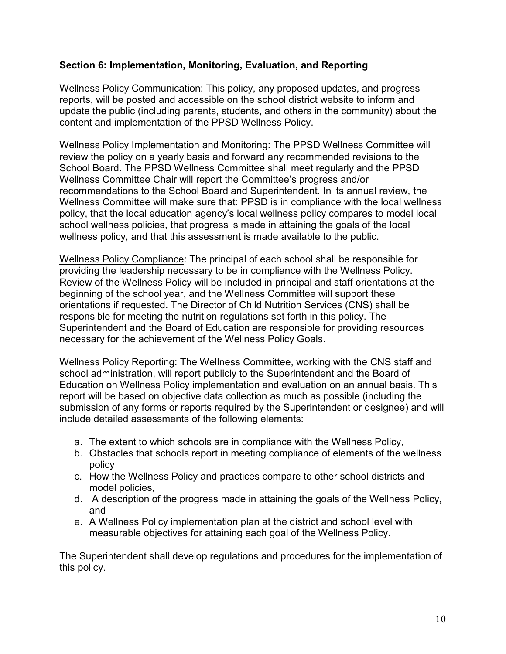## **Section 6: Implementation, Monitoring, Evaluation, and Reporting**

Wellness Policy Communication: This policy, any proposed updates, and progress reports, will be posted and accessible on the school district website to inform and update the public (including parents, students, and others in the community) about the content and implementation of the PPSD Wellness Policy.

Wellness Policy Implementation and Monitoring: The PPSD Wellness Committee will review the policy on a yearly basis and forward any recommended revisions to the School Board. The PPSD Wellness Committee shall meet regularly and the PPSD Wellness Committee Chair will report the Committee's progress and/or recommendations to the School Board and Superintendent. In its annual review, the Wellness Committee will make sure that: PPSD is in compliance with the local wellness policy, that the local education agency's local wellness policy compares to model local school wellness policies, that progress is made in attaining the goals of the local wellness policy, and that this assessment is made available to the public.

Wellness Policy Compliance: The principal of each school shall be responsible for providing the leadership necessary to be in compliance with the Wellness Policy. Review of the Wellness Policy will be included in principal and staff orientations at the beginning of the school year, and the Wellness Committee will support these orientations if requested. The Director of Child Nutrition Services (CNS) shall be responsible for meeting the nutrition regulations set forth in this policy. The Superintendent and the Board of Education are responsible for providing resources necessary for the achievement of the Wellness Policy Goals.

Wellness Policy Reporting: The Wellness Committee, working with the CNS staff and school administration, will report publicly to the Superintendent and the Board of Education on Wellness Policy implementation and evaluation on an annual basis. This report will be based on objective data collection as much as possible (including the submission of any forms or reports required by the Superintendent or designee) and will include detailed assessments of the following elements:

- a. The extent to which schools are in compliance with the Wellness Policy,
- b. Obstacles that schools report in meeting compliance of elements of the wellness policy
- c. How the Wellness Policy and practices compare to other school districts and model policies,
- d. A description of the progress made in attaining the goals of the Wellness Policy, and
- e. A Wellness Policy implementation plan at the district and school level with measurable objectives for attaining each goal of the Wellness Policy.

The Superintendent shall develop regulations and procedures for the implementation of this policy.